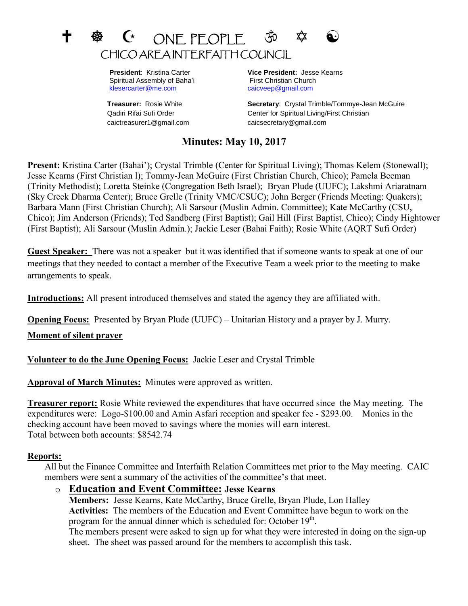# $G$  ONE PEOPLE 30  $\hat{\varphi}$ CHICO AREA INTERFAITH COUNCIL

Spiritual Assembly of Baha'i First Christian Church [klesercarter@me.com](mailto:klesercarter@me.com) [caicveep@gmail.com](mailto:caicveep@gmail.com)

caictreasurer1@gmail.com caicsecretary@gmail.com

 **President**: Kristina Carter **Vice President:** Jesse Kearns

**Treasurer:** Rosie White **Secretary**: Crystal Trimble/Tommye-Jean McGuire Qadiri Rifai Sufi Order Center for Spiritual Living/First Christian

# **Minutes: May 10, 2017**

**Present:** Kristina Carter (Bahai'); Crystal Trimble (Center for Spiritual Living); Thomas Kelem (Stonewall); Jesse Kearns (First Christian l); Tommy-Jean McGuire (First Christian Church, Chico); Pamela Beeman (Trinity Methodist); Loretta Steinke (Congregation Beth Israel); Bryan Plude (UUFC); Lakshmi Ariaratnam (Sky Creek Dharma Center); Bruce Grelle (Trinity VMC/CSUC); John Berger (Friends Meeting: Quakers); Barbara Mann (First Christian Church); Ali Sarsour (Muslin Admin. Committee); Kate McCarthy (CSU, Chico); Jim Anderson (Friends); Ted Sandberg (First Baptist); Gail Hill (First Baptist, Chico); Cindy Hightower (First Baptist); Ali Sarsour (Muslin Admin.); Jackie Leser (Bahai Faith); Rosie White (AQRT Sufi Order)

**Guest Speaker:** There was not a speaker but it was identified that if someone wants to speak at one of our meetings that they needed to contact a member of the Executive Team a week prior to the meeting to make arrangements to speak.

**Introductions:** All present introduced themselves and stated the agency they are affiliated with.

**Opening Focus:** Presented by Bryan Plude (UUFC) – Unitarian History and a prayer by J. Murry.

**Moment of silent prayer**

**Volunteer to do the June Opening Focus:** Jackie Leser and Crystal Trimble

**Approval of March Minutes:** Minutes were approved as written.

**Treasurer report:** Rosie White reviewed the expenditures that have occurred since the May meeting. The expenditures were: Logo-\$100.00 and Amin Asfari reception and speaker fee - \$293.00. Monies in the checking account have been moved to savings where the monies will earn interest. Total between both accounts: \$8542.74

#### **Reports:**

All but the Finance Committee and Interfaith Relation Committees met prior to the May meeting. CAIC members were sent a summary of the activities of the committee's that meet.

o **Education and Event Committee: Jesse Kearns Members:** Jesse Kearns, Kate McCarthy, Bruce Grelle, Bryan Plude, Lon Halley **Activities:** The members of the Education and Event Committee have begun to work on the program for the annual dinner which is scheduled for: October  $19<sup>th</sup>$ . The members present were asked to sign up for what they were interested in doing on the sign-up sheet. The sheet was passed around for the members to accomplish this task.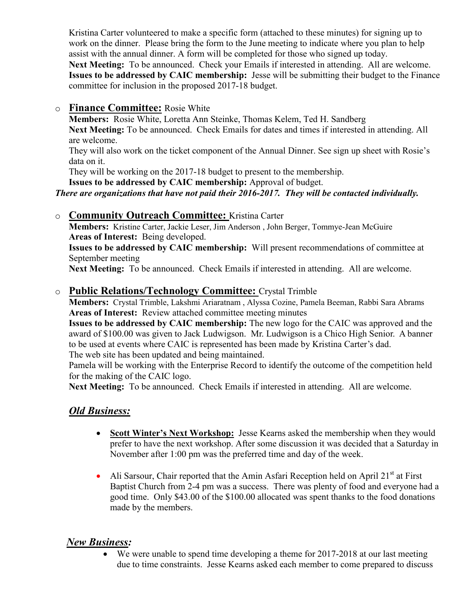Kristina Carter volunteered to make a specific form (attached to these minutes) for signing up to work on the dinner. Please bring the form to the June meeting to indicate where you plan to help assist with the annual dinner. A form will be completed for those who signed up today. **Next Meeting:** To be announced. Check your Emails if interested in attending. All are welcome.

**Issues to be addressed by CAIC membership:** Jesse will be submitting their budget to the Finance committee for inclusion in the proposed 2017-18 budget.

o **Finance Committee:** Rosie White

**Members:** Rosie White, Loretta Ann Steinke, Thomas Kelem, Ted H. Sandberg **Next Meeting:** To be announced. Check Emails for dates and times if interested in attending. All are welcome.

They will also work on the ticket component of the Annual Dinner. See sign up sheet with Rosie's data on it.

They will be working on the 2017-18 budget to present to the membership.

**Issues to be addressed by CAIC membership:** Approval of budget.

#### *There are organizations that have not paid their 2016-2017. They will be contacted individually.*

## o **Community Outreach Committee:** Kristina Carter

**Members:** Kristine Carter, Jackie Leser, Jim Anderson , John Berger, Tommye-Jean McGuire **Areas of Interest:** Being developed.

**Issues to be addressed by CAIC membership:** Will present recommendations of committee at September meeting

**Next Meeting:** To be announced. Check Emails if interested in attending. All are welcome.

## o **Public Relations/Technology Committee:** Crystal Trimble

**Members:** Crystal Trimble, Lakshmi Ariaratnam , Alyssa Cozine, Pamela Beeman, Rabbi Sara Abrams **Areas of Interest:** Review attached committee meeting minutes

**Issues to be addressed by CAIC membership:** The new logo for the CAIC was approved and the award of \$100.00 was given to Jack Ludwigson. Mr. Ludwigson is a Chico High Senior. A banner to be used at events where CAIC is represented has been made by Kristina Carter's dad. The web site has been updated and being maintained.

Pamela will be working with the Enterprise Record to identify the outcome of the competition held for the making of the CAIC logo.

**Next Meeting:** To be announced. Check Emails if interested in attending. All are welcome.

## *Old Business:*

- **Scott Winter's Next Workshop:** Jesse Kearns asked the membership when they would prefer to have the next workshop. After some discussion it was decided that a Saturday in November after 1:00 pm was the preferred time and day of the week.
- Ali Sarsour, Chair reported that the Amin Asfari Reception held on April  $21<sup>st</sup>$  at First Baptist Church from 2-4 pm was a success. There was plenty of food and everyone had a good time. Only \$43.00 of the \$100.00 allocated was spent thanks to the food donations made by the members.

## *New Business:*

We were unable to spend time developing a theme for 2017-2018 at our last meeting due to time constraints. Jesse Kearns asked each member to come prepared to discuss